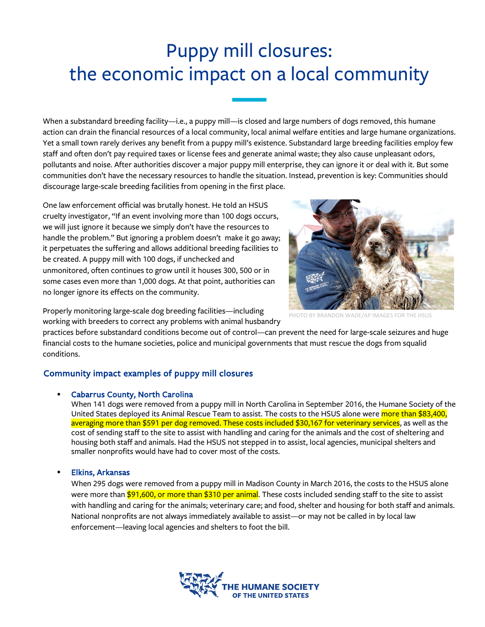# Puppy mill closures: the economic impact on a local community

When a substandard breeding facility—i.e., a puppy mill—is closed and large numbers of dogs removed, this humane action can drain the financial resources of a local community, local animal welfare entities and large humane organizations. Yet a small town rarely derives any benefit from a puppy mill's existence. Substandard large breeding facilities employ few staff and often don't pay required taxes or license fees and generate animal waste; they also cause unpleasant odors, pollutants and noise. After authorities discover a major puppy mill enterprise, they can ignore it or deal with it. But some communities don't have the necessary resources to handle the situation. Instead, prevention is key: Communities should discourage large-scale breeding facilities from opening in the first place.

One law enforcement official was brutally honest. He told an HSUS cruelty investigator, "If an event involving more than 100 dogs occurs, we will just ignore it because we simply don't have the resources to handle the problem." But ignoring a problem doesn't make it go away; it perpetuates the suffering and allows additional breeding facilities to be created. A puppy mill with 100 dogs, if unchecked and unmonitored, often continues to grow until it houses 300, 500 or in some cases even more than 1,000 dogs. At that point, authorities can no longer ignore its effects on the community.



PHOTO BY BRANDON WADE/AP IMAGES FOR

Properly monitoring large-scale dog breeding facilities—including working with breeders to correct any problems with animal husbandry

practices before substandard conditions become out of control—can prevent the need for large-scale seizures and huge financial costs to the humane societies, police and municipal governments that must rescue the dogs from squalid conditions.

# Community impact examples of puppy mill closures

#### § Cabarrus County, North Carolina

When 141 dogs were removed from a puppy mill in North Carolina in September 2016, the Humane Society of the United States deployed its Animal Rescue Team to assist. The costs to the HSUS alone were more than \$83,400, averaging more than \$591 per dog removed. These costs included \$30,167 for veterinary services, as well as the cost of sending staff to the site to assist with handling and caring for the animals and the cost of sheltering and housing both staff and animals. Had the HSUS not stepped in to assist, local agencies, municipal shelters and smaller nonprofits would have had to cover most of the costs.

#### § Elkins, Arkansas

When 295 dogs were removed from a puppy mill in Madison County in March 2016, the costs to the HSUS alone were more than \$91,600, or more than \$310 per animal. These costs included sending staff to the site to assist with handling and caring for the animals; veterinary care; and food, shelter and housing for both staff and animals. National nonprofits are not always immediately available to assist—or may not be called in by local law enforcement—leaving local agencies and shelters to foot the bill.

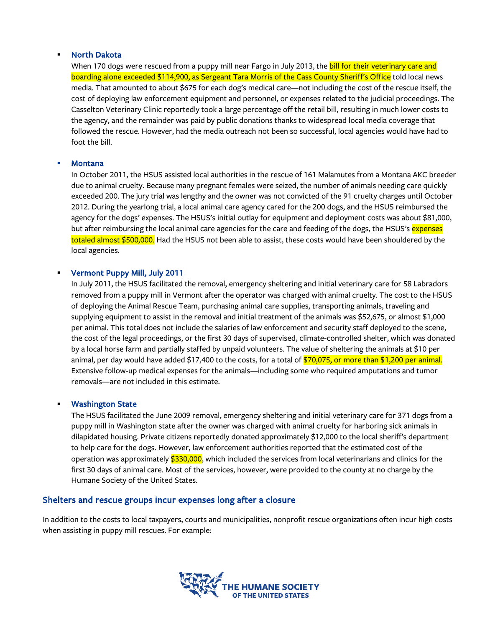#### § North Dakota

When 170 dogs were rescued from a puppy mill near Fargo in July 2013, the bill for their veterinary care and boarding alone exceeded \$114,900, as Sergeant Tara Morris of the Cass County Sheriff's Office told local news media. That amounted to about \$675 for each dog's medical care—not including the cost of the rescue itself, the cost of deploying law enforcement equipment and personnel, or expenses related to the judicial proceedings. The Casselton Veterinary Clinic reportedly took a large percentage off the retail bill, resulting in much lower costs to the agency, and the remainder was paid by public donations thanks to widespread local media coverage that followed the rescue. However, had the media outreach not been so successful, local agencies would have had to foot the bill.

#### **Montana**

In October 2011, the HSUS assisted local authorities in the rescue of 161 Malamutes from a Montana AKC breeder due to animal cruelty. Because many pregnant females were seized, the number of animals needing care quickly exceeded 200. The jury trial was lengthy and the owner was not convicted of the 91 cruelty charges until October 2012. During the yearlong trial, a local animal care agency cared for the 200 dogs, and the HSUS reimbursed the agency for the dogs' expenses. The HSUS's initial outlay for equipment and deployment costs was about \$81,000, but after reimbursing the local animal care agencies for the care and feeding of the dogs, the HSUS's expenses totaled almost \$500,000. Had the HSUS not been able to assist, these costs would have been shouldered by the local agencies.

#### § Vermont Puppy Mill, July 2011

In July 2011, the HSUS facilitated the removal, emergency sheltering and initial veterinary care for 58 Labradors removed from a puppy mill in Vermont after the operator was charged with animal cruelty. The cost to the HSUS of deploying the Animal Rescue Team, purchasing animal care supplies, transporting animals, traveling and supplying equipment to assist in the removal and initial treatment of the animals was \$52,675, or almost \$1,000 per animal. This total does not include the salaries of law enforcement and security staff deployed to the scene, the cost of the legal proceedings, or the first 30 days of supervised, climate-controlled shelter, which was donated by a local horse farm and partially staffed by unpaid volunteers. The value of sheltering the animals at \$10 per animal, per day would have added \$17,400 to the costs, for a total of  $$70,075$ , or more than \$1,200 per animal. Extensive follow-up medical expenses for the animals—including some who required amputations and tumor removals—are not included in this estimate.

#### **Washington State**

The HSUS facilitated the June 2009 removal, emergency sheltering and initial veterinary care for 371 dogs from a puppy mill in Washington state after the owner was charged with animal cruelty for harboring sick animals in dilapidated housing. Private citizens reportedly donated approximately \$12,000 to the local sheriff's department to help care for the dogs. However, law enforcement authorities reported that the estimated cost of the operation was approximately \$330,000, which included the services from local veterinarians and clinics for the first 30 days of animal care. Most of the services, however, were provided to the county at no charge by the Humane Society of the United States.

### Shelters and rescue groups incur expenses long after a closure

In addition to the costs to local taxpayers, courts and municipalities, nonprofit rescue organizations often incur high costs when assisting in puppy mill rescues. For example:

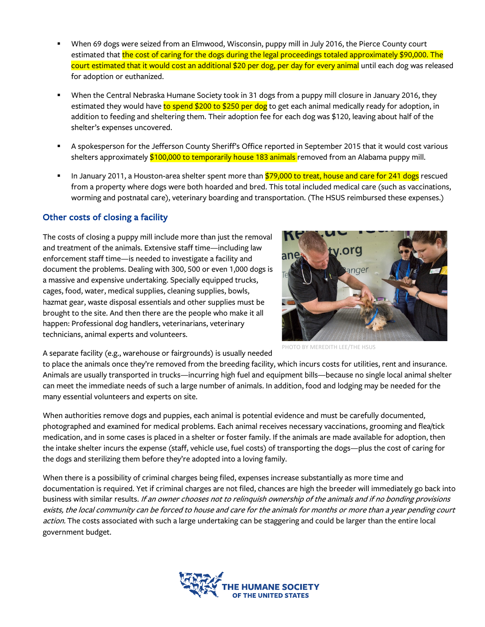- § When 69 dogs were seized from an Elmwood, Wisconsin, puppy mill in July 2016, the Pierce County court estimated that the cost of caring for the dogs during the legal proceedings totaled approximately \$90,000. The court estimated that it would cost an additional \$20 per dog, per day for every animal until each dog was released for adoption or euthanized.
- § When the Central Nebraska Humane Society took in 31 dogs from a puppy mill closure in January 2016, they estimated they would have to spend \$200 to \$250 per dog to get each animal medically ready for adoption, in addition to feeding and sheltering them. Their adoption fee for each dog was \$120, leaving about half of the shelter's expenses uncovered.
- § A spokesperson for the Jefferson County Sheriff's Office reported in September 2015 that it would cost various shelters approximately \$100,000 to temporarily house 183 animals removed from an Alabama puppy mill.
- In January 2011, a Houston-area shelter spent more than \$79,000 to treat, house and care for 241 dogs rescued from a property where dogs were both hoarded and bred. This total included medical care (such as vaccinations, worming and postnatal care), veterinary boarding and transportation. (The HSUS reimbursed these expenses.)

# Other costs of closing a facility

The costs of closing a puppy mill include more than just the removal and treatment of the animals. Extensive staff time—including law enforcement staff time—is needed to investigate a facility and document the problems. Dealing with 300, 500 or even 1,000 dogs is a massive and expensive undertaking. Specially equipped trucks, cages, food, water, medical supplies, cleaning supplies, bowls, hazmat gear, waste disposal essentials and other supplies must be brought to the site. And then there are the people who make it all happen: Professional dog handlers, veterinarians, veterinary technicians, animal experts and volunteers.



A separate facility (e.g., warehouse or fairgrounds) is usually needed

to place the animals once they're removed from the breeding facility, which incurs costs for utilities, rent and insurance. Animals are usually transported in trucks—incurring high fuel and equipment bills—because no single local animal shelter can meet the immediate needs of such a large number of animals. In addition, food and lodging may be needed for the many essential volunteers and experts on site.

When authorities remove dogs and puppies, each animal is potential evidence and must be carefully documented, photographed and examined for medical problems. Each animal receives necessary vaccinations, grooming and flea/tick medication, and in some cases is placed in a shelter or foster family. If the animals are made available for adoption, then the intake shelter incurs the expense (staff, vehicle use, fuel costs) of transporting the dogs—plus the cost of caring for the dogs and sterilizing them before they're adopted into a loving family.

When there is a possibility of criminal charges being filed, expenses increase substantially as more time and documentation is required. Yet if criminal charges are not filed, chances are high the breeder will immediately go back into business with similar results. If an owner chooses not to relinquish ownership of the animals and if no bonding provisions exists, the local community can be forced to house and care for the animals for months or more than a year pending court action. The costs associated with such a large undertaking can be staggering and could be larger than the entire local government budget.